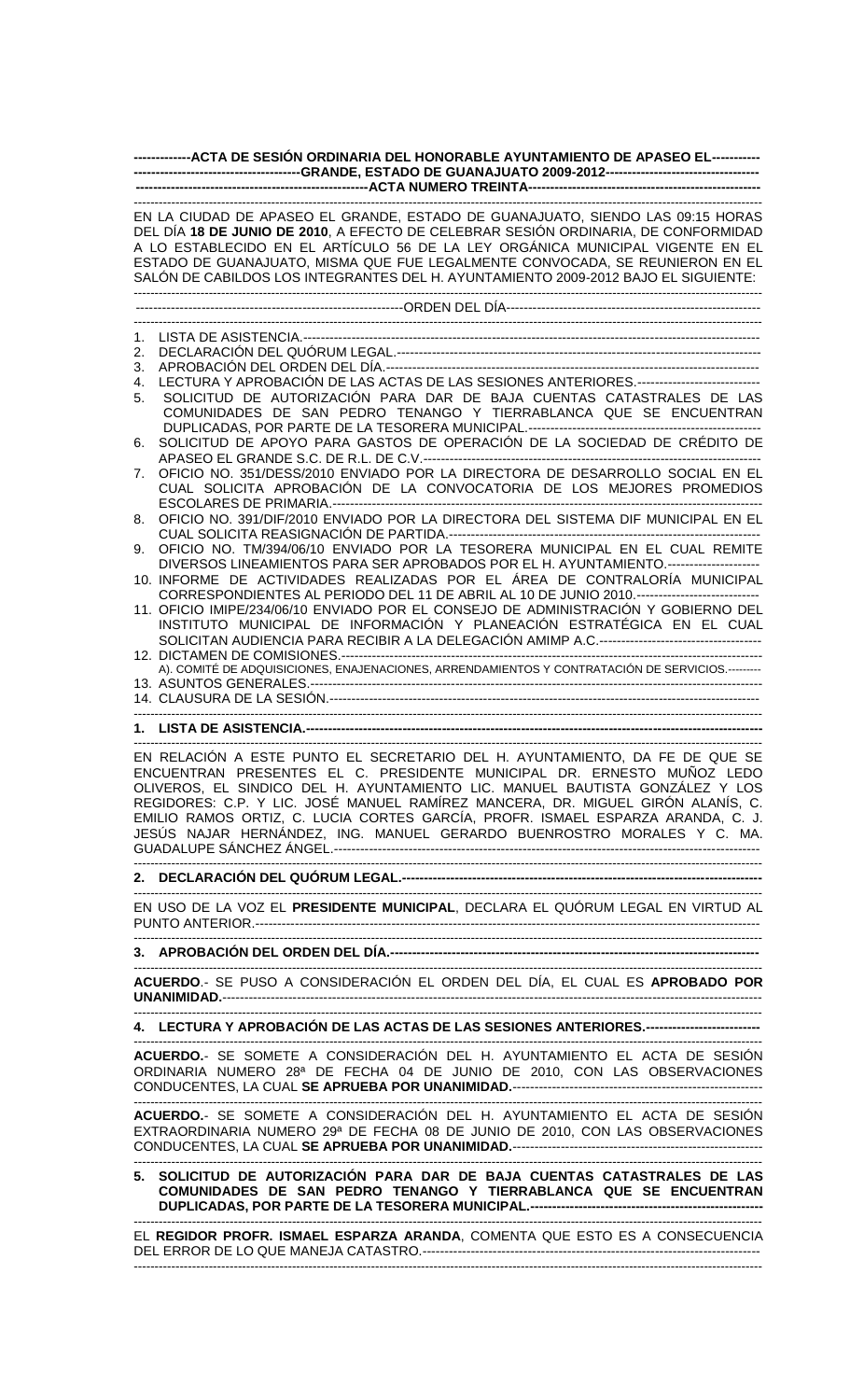## **-------------ACTA DE SESIÓN ORDINARIA DEL HONORABLE AYUNTAMIENTO DE APASEO EL----------- --------------------------------------GRANDE, ESTADO DE GUANAJUATO 2009-2012----------------------------------- -----------------------------------------------------ACTA NUMERO TREINTA-----------------------------------------------------**

|    | EN LA CIUDAD DE APASEO EL GRANDE, ESTADO DE GUANAJUATO, SIENDO LAS 09:15 HORAS                   |
|----|--------------------------------------------------------------------------------------------------|
|    | DEL DÍA 1 <b>8 DE JUNIO DE 2010</b> , A EFECTO DE CELEBRAR SESIÓN ORDINARIA, DE CONFORMIDAD      |
|    | A LO ESTABLECIDO EN EL ARTÍCULO 56 DE LA LEY ORGÁNICA MUNICIPAL VIGENTE EN EL                    |
|    | ESTADO DE GUANAJUATO, MISMA QUE FUE LEGALMENTE CONVOCADA, SE REUNIERON EN EL                     |
|    | SALÓN DE CABILDOS LOS INTEGRANTES DEL H. AYUNTAMIENTO 2009-2012 BAJO EL SIGUIENTE:               |
|    |                                                                                                  |
|    |                                                                                                  |
| 1. |                                                                                                  |
| 2. |                                                                                                  |
| 3. |                                                                                                  |
| 4. | LECTURA Y APROBACIÓN DE LAS ACTAS DE LAS SESIONES ANTERIORES.---------------------------         |
| 5. | SOLICITUD DE AUTORIZACIÓN PARA DAR DE BAJA CUENTAS CATASTRALES DE LAS                            |
|    | COMUNIDADES DE SAN PEDRO TENANGO Y TIERRABLANCA QUE SE ENCUENTRAN                                |
|    |                                                                                                  |
| 6. | SOLICITUD DE APOYO PARA GASTOS DE OPERACIÓN DE LA SOCIEDAD DE CRÉDITO DE                         |
|    |                                                                                                  |
| 7. | OFICIO NO. 351/DESS/2010 ENVIADO POR LA DIRECTORA DE DESARROLLO SOCIAL EN EL                     |
|    | CUAL SOLICITA APROBACIÓN DE LA CONVOCATORIA DE LOS MEJORES PROMEDIOS                             |
|    |                                                                                                  |
| 8. | OFICIO NO. 391/DIF/2010 ENVIADO POR LA DIRECTORA DEL SISTEMA DIF MUNICIPAL EN EL                 |
|    |                                                                                                  |
| 9. | OFICIO NO. TM/394/06/10 ENVIADO POR LA TESORERA MUNICIPAL EN EL CUAL REMITE                      |
|    | DIVERSOS LINEAMIENTOS PARA SER APROBADOS POR EL H. AYUNTAMIENTO.---------------------            |
|    | 10. INFORME DE ACTIVIDADES REALIZADAS POR EL ÁREA DE CONTRALORÍA MUNICIPAL                       |
|    | CORRESPONDIENTES AL PERIODO DEL 11 DE ABRIL AL 10 DE JUNIO 2010.---------------------------      |
|    | 11. OFICIO IMIPE/234/06/10 ENVIADO POR EL CONSEJO DE ADMINISTRACIÓN Y GOBIERNO DEL               |
|    | INSTITUTO MUNICIPAL DE INFORMACIÓN Y PLANEACIÓN ESTRATÉGICA EN EL CUAL                           |
|    |                                                                                                  |
|    |                                                                                                  |
|    | A). COMITÉ DE ADQUISICIONES, ENAJENACIONES, ARRENDAMIENTOS Y CONTRATACIÓN DE SERVICIOS.--------- |
|    |                                                                                                  |
|    |                                                                                                  |
|    |                                                                                                  |
|    |                                                                                                  |
|    | EN RELACIÓN A ESTE PUNTO EL SECRETARIO DEL H. AYUNTAMIENTO, DA FE DE QUE SE                      |
|    | ENCUENTRAN PRESENTES EL C. PRESIDENTE MUNICIPAL DR. ERNESTO MUÑOZ LEDO                           |
|    | OLIVEROS, EL SINDICO DEL H. AYUNTAMIENTO LIC. MANUEL BAUTISTA GONZÁLEZ Y LOS                     |
|    | REGIDORES: C.P. Y LIC. JOSÉ MANUEL RAMÍREZ MANCERA, DR. MIGUEL GIRÓN ALANÍS, C.                  |
|    | EMILIO RAMOS ORTIZ, C. LUCIA CORTES GARCÍA, PROFR. ISMAEL ESPARZA ARANDA, C. J.                  |
|    | JESÚS NAJAR HERNÁNDEZ, ING. MANUEL GERARDO BUENROSTRO MORALES Y C. MA.                           |
|    |                                                                                                  |
|    |                                                                                                  |
|    |                                                                                                  |
|    |                                                                                                  |
|    | EN USO DE LA VOZ EL PRESIDENTE MUNICIPAL, DECLARA EL QUÓRUM LEGAL EN VIRTUD AL                   |
|    |                                                                                                  |
|    |                                                                                                  |
|    |                                                                                                  |
|    | ACUERDO.- SE PUSO A CONSIDERACIÓN EL ORDEN DEL DÍA, EL CUAL ES APROBADO POR                      |
|    |                                                                                                  |
|    |                                                                                                  |
|    | 4. LECTURA Y APROBACIÓN DE LAS ACTAS DE LAS SESIONES ANTERIORES.--------------------------       |
|    |                                                                                                  |
|    | ACUERDO.- SE SOMETE A CONSIDERACIÓN DEL H. AYUNTAMIENTO EL ACTA DE SESIÓN                        |

ORDINARIA NUMERO 28ª DE FECHA 04 DE JUNIO DE 2010, CON LAS OBSERVACIONES CONDUCENTES, LA CUAL **SE APRUEBA POR UNANIMIDAD.**--------------------------------------------------------- -------------------------------------------------------------------------------------------------------------------------------------------------------

**ACUERDO.**- SE SOMETE A CONSIDERACIÓN DEL H. AYUNTAMIENTO EL ACTA DE SESIÓN EXTRAORDINARIA NUMERO 29ª DE FECHA 08 DE JUNIO DE 2010, CON LAS OBSERVACIONES CONDUCENTES, LA CUAL **SE APRUEBA POR UNANIMIDAD.**--------------------------------------------------------- -------------------------------------------------------------------------------------------------------------------------------------------------------

**5. SOLICITUD DE AUTORIZACIÓN PARA DAR DE BAJA CUENTAS CATASTRALES DE LAS COMUNIDADES DE SAN PEDRO TENANGO Y TIERRABLANCA QUE SE ENCUENTRAN DUPLICADAS, POR PARTE DE LA TESORERA MUNICIPAL.-----------------------------------------------------**

EL **REGIDOR PROFR. ISMAEL ESPARZA ARANDA**, COMENTA QUE ESTO ES A CONSECUENCIA DEL ERROR DE LO QUE MANEJA CATASTRO.----------------------------------------------------------------------------- -------------------------------------------------------------------------------------------------------------------------------------------------------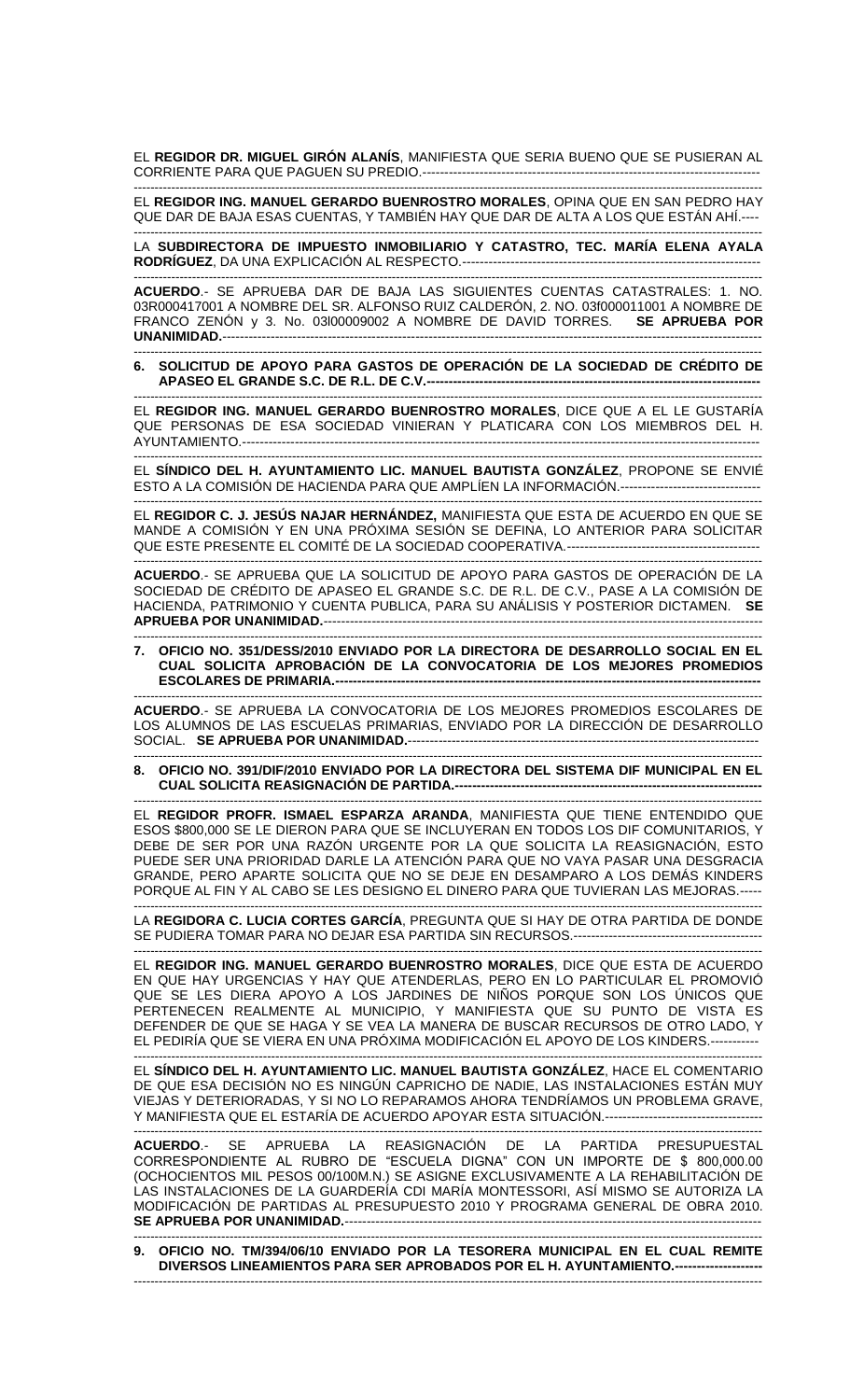EL **REGIDOR DR. MIGUEL GIRÓN ALANÍS**, MANIFIESTA QUE SERIA BUENO QUE SE PUSIERAN AL CORRIENTE PARA QUE PAGUEN SU PREDIO.---

------------------------------------------------------------------------------------------------------------------------------------------------------- EL **REGIDOR ING. MANUEL GERARDO BUENROSTRO MORALES**, OPINA QUE EN SAN PEDRO HAY QUE DAR DE BAJA ESAS CUENTAS, Y TAMBIÉN HAY QUE DAR DE ALTA A LOS QUE ESTÁN AHÍ.---- -------------------------------------------------------------------------------------------------------------------------------------------------------

LA **SUBDIRECTORA DE IMPUESTO INMOBILIARIO Y CATASTRO, TEC. MARÍA ELENA AYALA RODRÍGUEZ**, DA UNA EXPLICACIÓN AL RESPECTO.--------------------------------------------------------------------

------------------------------------------------------------------------------------------------------------------------------------------------------- **ACUERDO**.- SE APRUEBA DAR DE BAJA LAS SIGUIENTES CUENTAS CATASTRALES: 1. NO. 03R000417001 A NOMBRE DEL SR. ALFONSO RUIZ CALDERÓN, 2. NO. 03f000011001 A NOMBRE DE FRANCO ZENÓN y 3. No. 03l00009002 A NOMBRE DE DAVID TORRES. **SE APRUEBA POR UNANIMIDAD.**---------------------------------------------------------------------------------------------------------------------------

------------------------------------------------------------------------------------------------------------------------------------------------------- **6. SOLICITUD DE APOYO PARA GASTOS DE OPERACIÓN DE LA SOCIEDAD DE CRÉDITO DE APASEO EL GRANDE S.C. DE R.L. DE C.V.---**

------------------------------------------------------------------------------------------------------------------------------------------------------- EL **REGIDOR ING. MANUEL GERARDO BUENROSTRO MORALES**, DICE QUE A EL LE GUSTARÍA QUE PERSONAS DE ESA SOCIEDAD VINIERAN Y PLATICARA CON LOS MIEMBROS DEL H. AYUNTAMIENTO.------

------------------------------------------------------------------------------------------------------------------------------------------------------- EL **SÍNDICO DEL H. AYUNTAMIENTO LIC. MANUEL BAUTISTA GONZÁLEZ**, PROPONE SE ENVIÉ ESTO A LA COMISIÓN DE HACIENDA PARA QUE AMPLÍEN LA INFORMACIÓN.--------------------------------

------------------------------------------------------------------------------------------------------------------------------------------------------- EL **REGIDOR C. J. JESÚS NAJAR HERNÁNDEZ,** MANIFIESTA QUE ESTA DE ACUERDO EN QUE SE MANDE A COMISIÓN Y EN UNA PRÓXIMA SESIÓN SE DEFINA, LO ANTERIOR PARA SOLICITAR QUE ESTE PRESENTE EL COMITÉ DE LA SOCIEDAD COOPERATIVA.--------------------------------------------

------------------------------------------------------------------------------------------------------------------------------------------------------- **ACUERDO**.- SE APRUEBA QUE LA SOLICITUD DE APOYO PARA GASTOS DE OPERACIÓN DE LA SOCIEDAD DE CRÉDITO DE APASEO EL GRANDE S.C. DE R.L. DE C.V., PASE A LA COMISIÓN DE HACIENDA, PATRIMONIO Y CUENTA PUBLICA, PARA SU ANÁLISIS Y POSTERIOR DICTAMEN. **SE APRUEBA POR UNANIMIDAD.**----------------------------------------------------------------------------------------------------

------------------------------------------------------------------------------------------------------------------------------------------------------- **7. OFICIO NO. 351/DESS/2010 ENVIADO POR LA DIRECTORA DE DESARROLLO SOCIAL EN EL CUAL SOLICITA APROBACIÓN DE LA CONVOCATORIA DE LOS MEJORES PROMEDIOS ESCOLARES DE PRIMARIA.-------------------------------------------------------------------------------------------------**

------------------------------------------------------------------------------------------------------------------------------------------------------- **ACUERDO**.- SE APRUEBA LA CONVOCATORIA DE LOS MEJORES PROMEDIOS ESCOLARES DE LOS ALUMNOS DE LAS ESCUELAS PRIMARIAS, ENVIADO POR LA DIRECCIÓN DE DESARROLLO SOCIAL. **SE APRUEBA POR UNANIMIDAD.----------------**

**8. OFICIO NO. 391/DIF/2010 ENVIADO POR LA DIRECTORA DEL SISTEMA DIF MUNICIPAL EN EL CUAL SOLICITA REASIGNACIÓN DE PARTIDA.---**

-------------------------------------------------------------------------------------------------------------------------------------------------------

EL **REGIDOR PROFR. ISMAEL ESPARZA ARANDA**, MANIFIESTA QUE TIENE ENTENDIDO QUE ESOS \$800,000 SE LE DIERON PARA QUE SE INCLUYERAN EN TODOS LOS DIF COMUNITARIOS, Y DEBE DE SER POR UNA RAZÓN URGENTE POR LA QUE SOLICITA LA REASIGNACIÓN, ESTO PUEDE SER UNA PRIORIDAD DARLE LA ATENCIÓN PARA QUE NO VAYA PASAR UNA DESGRACIA GRANDE, PERO APARTE SOLICITA QUE NO SE DEJE EN DESAMPARO A LOS DEMÁS KINDERS PORQUE AL FIN Y AL CABO SE LES DESIGNO EL DINERO PARA QUE TUVIERAN LAS MEJORAS.-----

------------------------------------------------------------------------------------------------------------------------------------------------------- LA **REGIDORA C. LUCIA CORTES GARCÍA**, PREGUNTA QUE SI HAY DE OTRA PARTIDA DE DONDE SE PUDIERA TOMAR PARA NO DEJAR ESA PARTIDA SIN RECURSOS.-------------------------------------------

------------------------------------------------------------------------------------------------------------------------------------------------------- EL **REGIDOR ING. MANUEL GERARDO BUENROSTRO MORALES**, DICE QUE ESTA DE ACUERDO EN QUE HAY URGENCIAS Y HAY QUE ATENDERLAS, PERO EN LO PARTICULAR EL PROMOVIÓ QUE SE LES DIERA APOYO A LOS JARDINES DE NIÑOS PORQUE SON LOS ÚNICOS QUE PERTENECEN REALMENTE AL MUNICIPIO, Y MANIFIESTA QUE SU PUNTO DE VISTA ES DEFENDER DE QUE SE HAGA Y SE VEA LA MANERA DE BUSCAR RECURSOS DE OTRO LADO, Y EL PEDIRÍA QUE SE VIERA EN UNA PRÓXIMA MODIFICACIÓN EL APOYO DE LOS KINDERS.---

------------------------------------------------------------------------------------------------------------------------------------------------------- EL **SÍNDICO DEL H. AYUNTAMIENTO LIC. MANUEL BAUTISTA GONZÁLEZ**, HACE EL COMENTARIO DE QUE ESA DECISIÓN NO ES NINGÚN CAPRICHO DE NADIE, LAS INSTALACIONES ESTÁN MUY VIEJAS Y DETERIORADAS, Y SI NO LO REPARAMOS AHORA TENDRÍAMOS UN PROBLEMA GRAVE, Y MANIFIESTA QUE EL ESTARÍA DE ACUERDO APOYAR ESTA SITUACIÓN.------------------------------------

------------------------------------------------------------------------------------------------------------------------------------------------------- **ACUERDO**.- SE APRUEBA LA REASIGNACIÓN DE LA PARTIDA PRESUPUESTAL CORRESPONDIENTE AL RUBRO DE "ESCUELA DIGNA" CON UN IMPORTE DE \$ 800,000.00 (OCHOCIENTOS MIL PESOS 00/100M.N.) SE ASIGNE EXCLUSIVAMENTE A LA REHABILITACIÓN DE LAS INSTALACIONES DE LA GUARDERÍA CDI MARÍA MONTESSORI, ASÍ MISMO SE AUTORIZA LA MODIFICACIÓN DE PARTIDAS AL PRESUPUESTO 2010 Y PROGRAMA GENERAL DE OBRA 2010. **SE APRUEBA POR UNANIMIDAD.--------**

------------------------------------------------------------------------------------------------------------------------------------------------------- **9. OFICIO NO. TM/394/06/10 ENVIADO POR LA TESORERA MUNICIPAL EN EL CUAL REMITE DIVERSOS LINEAMIENTOS PARA SER APROBADOS POR EL H. AYUNTAMIENTO.--------------------** -------------------------------------------------------------------------------------------------------------------------------------------------------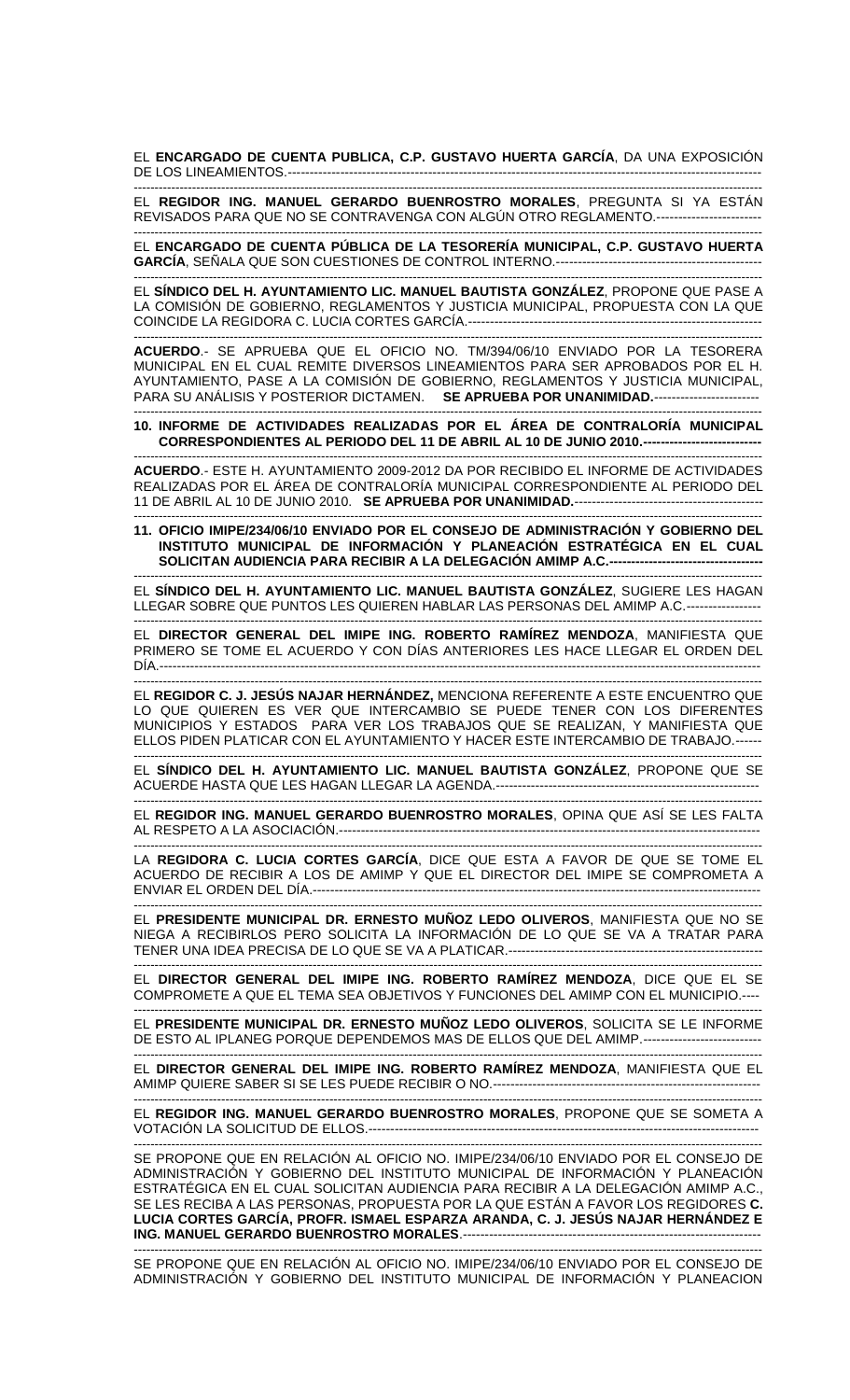EL **ENCARGADO DE CUENTA PUBLICA, C.P. GUSTAVO HUERTA GARCÍA**, DA UNA EXPOSICIÓN DE LOS LINEAMIENTOS.----

------------------------------------------------------------------------------------------------------------------------------------------------------- EL **REGIDOR ING. MANUEL GERARDO BUENROSTRO MORALES**, PREGUNTA SI YA ESTÁN REVISADOS PARA QUE NO SE CONTRAVENGA CON ALGÚN OTRO REGLAMENTO.------------------------

------------------------------------------------------------------------------------------------------------------------------------------------------- EL **ENCARGADO DE CUENTA PÚBLICA DE LA TESORERÍA MUNICIPAL, C.P. GUSTAVO HUERTA GARCÍA**, SEÑALA QUE SON CUESTIONES DE CONTROL INTERNO.-----------------------------------------------

------------------------------------------------------------------------------------------------------------------------------------------------------- EL **SÍNDICO DEL H. AYUNTAMIENTO LIC. MANUEL BAUTISTA GONZÁLEZ**, PROPONE QUE PASE A LA COMISIÓN DE GOBIERNO, REGLAMENTOS Y JUSTICIA MUNICIPAL, PROPUESTA CON LA QUE COINCIDE LA REGIDORA C. LUCIA CORTES GARCÍA.-------------------------------------------------------------------

------------------------------------------------------------------------------------------------------------------------------------------------------- **ACUERDO**.- SE APRUEBA QUE EL OFICIO NO. TM/394/06/10 ENVIADO POR LA TESORERA MUNICIPAL EN EL CUAL REMITE DIVERSOS LINEAMIENTOS PARA SER APROBADOS POR EL H. AYUNTAMIENTO, PASE A LA COMISIÓN DE GOBIERNO, REGLAMENTOS Y JUSTICIA MUNICIPAL, PARA SU ANÁLISIS Y POSTERIOR DICTAMEN. **SE APRUEBA POR UNANIMIDAD.**------------------------

------------------------------------------------------------------------------------------------------------------------------------------------------- **10. INFORME DE ACTIVIDADES REALIZADAS POR EL ÁREA DE CONTRALORÍA MUNICIPAL CORRESPONDIENTES AL PERIODO DEL 11 DE ABRIL AL 10 DE JUNIO 2010.---------------------------**

------------------------------------------------------------------------------------------------------------------------------------------------------- **ACUERDO**.- ESTE H. AYUNTAMIENTO 2009-2012 DA POR RECIBIDO EL INFORME DE ACTIVIDADES REALIZADAS POR EL ÁREA DE CONTRALORÍA MUNICIPAL CORRESPONDIENTE AL PERIODO DEL 11 DE ABRIL AL 10 DE JUNIO 2010. **SE APRUEBA POR UNANIMIDAD.**-------------------------------------------

------------------------------------------------------------------------------------------------------------------------------------------------------- **11. OFICIO IMIPE/234/06/10 ENVIADO POR EL CONSEJO DE ADMINISTRACIÓN Y GOBIERNO DEL INSTITUTO MUNICIPAL DE INFORMACIÓN Y PLANEACIÓN ESTRATÉGICA EN EL CUAL SOLICITAN AUDIENCIA PARA RECIBIR A LA DELEGACIÓN AMIMP A.C.-----------------------------------**

------------------------------------------------------------------------------------------------------------------------------------------------------- EL **SÍNDICO DEL H. AYUNTAMIENTO LIC. MANUEL BAUTISTA GONZÁLEZ**, SUGIERE LES HAGAN LLEGAR SOBRE QUE PUNTOS LES QUIEREN HABLAR LAS PERSONAS DEL AMIMP A.C.-----------------

------------------------------------------------------------------------------------------------------------------------------------------------------- EL **DIRECTOR GENERAL DEL IMIPE ING. ROBERTO RAMÍREZ MENDOZA**, MANIFIESTA QUE PRIMERO SE TOME EL ACUERDO Y CON DÍAS ANTERIORES LES HACE LLEGAR EL ORDEN DEL DÍA.-----------------------------------------------------------------------------------------------------------------------------------------

------------------------------------------------------------------------------------------------------------------------------------------------------- EL **REGIDOR C. J. JESÚS NAJAR HERNÁNDEZ,** MENCIONA REFERENTE A ESTE ENCUENTRO QUE LO QUE QUIEREN ES VER QUE INTERCAMBIO SE PUEDE TENER CON LOS DIFERENTES MUNICIPIOS Y ESTADOS PARA VER LOS TRABAJOS QUE SE REALIZAN, Y MANIFIESTA QUE ELLOS PIDEN PLATICAR CON EL AYUNTAMIENTO Y HACER ESTE INTERCAMBIO DE TRABAJO.---------------------------------------------------------------------------------------------------------------------------------------------------------

EL **SÍNDICO DEL H. AYUNTAMIENTO LIC. MANUEL BAUTISTA GONZÁLEZ**, PROPONE QUE SE ACUERDE HASTA QUE LES HAGAN LLEGAR LA AGENDA.------------------------------------------------------------

------------------------------------------------------------------------------------------------------------------------------------------------------- EL **REGIDOR ING. MANUEL GERARDO BUENROSTRO MORALES**, OPINA QUE ASÍ SE LES FALTA AL RESPETO A LA ASOCIACIÓN.------------------------------------------------------------------------------------------------ -------------------------------------------------------------------------------------------------------------------------------------------------------

LA **REGIDORA C. LUCIA CORTES GARCÍA**, DICE QUE ESTA A FAVOR DE QUE SE TOME EL ACUERDO DE RECIBIR A LOS DE AMIMP Y QUE EL DIRECTOR DEL IMIPE SE COMPROMETA A ENVIAR EL ORDEN DEL DÍA.------------------------------------------------------------------------------------------------------

------------------------------------------------------------------------------------------------------------------------------------------------------- EL **PRESIDENTE MUNICIPAL DR. ERNESTO MUÑOZ LEDO OLIVEROS**, MANIFIESTA QUE NO SE NIEGA A RECIBIRLOS PERO SOLICITA LA INFORMACIÓN DE LO QUE SE VA A TRATAR PARA TENER UNA IDEA PRECISA DE LO QUE SE VA A PLATICAR.----

------------------------------------------------------------------------------------------------------------------------------------------------------- EL **DIRECTOR GENERAL DEL IMIPE ING. ROBERTO RAMÍREZ MENDOZA**, DICE QUE EL SE COMPROMETE A QUE EL TEMA SEA OBJETIVOS Y FUNCIONES DEL AMIMP CON EL MUNICIPIO.----

------------------------------------------------------------------------------------------------------------------------------------------------------- EL **PRESIDENTE MUNICIPAL DR. ERNESTO MUÑOZ LEDO OLIVEROS**, SOLICITA SE LE INFORME DE ESTO AL IPLANEG PORQUE DEPENDEMOS MAS DE ELLOS QUE DEL AMIMP.---------------------------

------------------------------------------------------------------------------------------------------------------------------------------------------- EL **DIRECTOR GENERAL DEL IMIPE ING. ROBERTO RAMÍREZ MENDOZA**, MANIFIESTA QUE EL AMIMP QUIERE SABER SI SE LES PUEDE RECIBIR O NO.-------------------------------------------------------------

------------------------------------------------------------------------------------------------------------------------------------------------------- EL **REGIDOR ING. MANUEL GERARDO BUENROSTRO MORALES**, PROPONE QUE SE SOMETA A VOTACIÓN LA SOLICITUD DE ELLOS.----------------------------------------------------------------------------------------- -------------------------------------------------------------------------------------------------------------------------------------------------------

SE PROPONE QUE EN RELACIÓN AL OFICIO NO. IMIPE/234/06/10 ENVIADO POR EL CONSEJO DE ADMINISTRACIÓN Y GOBIERNO DEL INSTITUTO MUNICIPAL DE INFORMACIÓN Y PLANEACIÓN ESTRATÉGICA EN EL CUAL SOLICITAN AUDIENCIA PARA RECIBIR A LA DELEGACIÓN AMIMP A.C., SE LES RECIBA A LAS PERSONAS, PROPUESTA POR LA QUE ESTÁN A FAVOR LOS REGIDORES **C. LUCIA CORTES GARCÍA, PROFR. ISMAEL ESPARZA ARANDA, C. J. JESÚS NAJAR HERNÁNDEZ E ING. MANUEL GERARDO BUENROSTRO MORALES**.-------------------------------------------------------------------- -------------------------------------------------------------------------------------------------------------------------------------------------------

SE PROPONE QUE EN RELACIÓN AL OFICIO NO. IMIPE/234/06/10 ENVIADO POR EL CONSEJO DE ADMINISTRACIÓN Y GOBIERNO DEL INSTITUTO MUNICIPAL DE INFORMACIÓN Y PLANEACION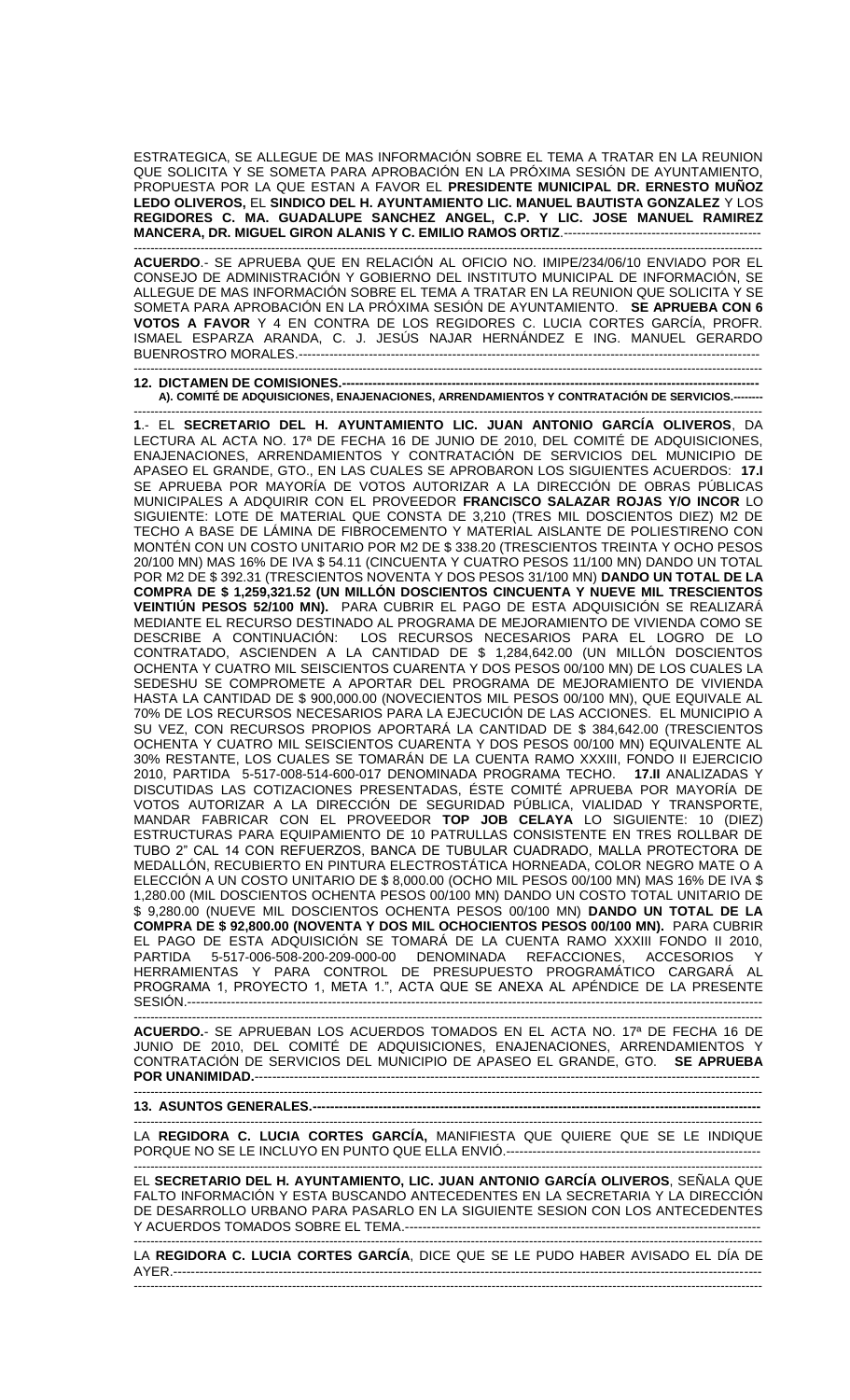ESTRATEGICA, SE ALLEGUE DE MAS INFORMACIÓN SOBRE EL TEMA A TRATAR EN LA REUNION QUE SOLICITA Y SE SOMETA PARA APROBACIÓN EN LA PRÓXIMA SESIÓN DE AYUNTAMIENTO, PROPUESTA POR LA QUE ESTAN A FAVOR EL **PRESIDENTE MUNICIPAL DR. ERNESTO MUÑOZ LEDO OLIVEROS,** EL **SINDICO DEL H. AYUNTAMIENTO LIC. MANUEL BAUTISTA GONZALEZ** Y LOS **REGIDORES C. MA. GUADALUPE SANCHEZ ANGEL, C.P. Y LIC. JOSE MANUEL RAMIREZ MANCERA, DR. MIGUEL GIRON ALANIS Y C. EMILIO RAMOS ORTIZ**.---------------------------------------------

------------------------------------------------------------------------------------------------------------------------------------------------------- **ACUERDO**.- SE APRUEBA QUE EN RELACIÓN AL OFICIO NO. IMIPE/234/06/10 ENVIADO POR EL CONSEJO DE ADMINISTRACIÓN Y GOBIERNO DEL INSTITUTO MUNICIPAL DE INFORMACIÓN, SE ALLEGUE DE MAS INFORMACIÓN SOBRE EL TEMA A TRATAR EN LA REUNION QUE SOLICITA Y SE SOMETA PARA APROBACIÓN EN LA PRÓXIMA SESIÓN DE AYUNTAMIENTO. **SE APRUEBA CON 6 VOTOS A FAVOR** Y 4 EN CONTRA DE LOS REGIDORES C. LUCIA CORTES GARCÍA, PROFR. ISMAEL ESPARZA ARANDA, C. J. JESÚS NAJAR HERNÁNDEZ E ING. MANUEL GERARDO BUENROSTRO MORALES.-------------------------------------------------------------------------------------------------------------------------------------------------------------------

**12. DICTAMEN DE COMISIONES.-A). COMITÉ DE ADQUISICIONES, ENAJENACIONES, ARRENDAMIENTOS Y CONTRATACIÓN DE SERVICIOS.--------**

------------------------------------------------------------------------------------------------------------------------------------------------------- **1**.- EL **SECRETARIO DEL H. AYUNTAMIENTO LIC. JUAN ANTONIO GARCÍA OLIVEROS**, DA LECTURA AL ACTA NO. 17ª DE FECHA 16 DE JUNIO DE 2010, DEL COMITÉ DE ADQUISICIONES, ENAJENACIONES, ARRENDAMIENTOS Y CONTRATACIÓN DE SERVICIOS DEL MUNICIPIO DE APASEO EL GRANDE, GTO., EN LAS CUALES SE APROBARON LOS SIGUIENTES ACUERDOS: **17.I**  SE APRUEBA POR MAYORÍA DE VOTOS AUTORIZAR A LA DIRECCIÓN DE OBRAS PÚBLICAS MUNICIPALES A ADQUIRIR CON EL PROVEEDOR **FRANCISCO SALAZAR ROJAS Y/O INCOR** LO SIGUIENTE: LOTE DE MATERIAL QUE CONSTA DE 3,210 (TRES MIL DOSCIENTOS DIEZ) M2 DE TECHO A BASE DE LÁMINA DE FIBROCEMENTO Y MATERIAL AISLANTE DE POLIESTIRENO CON MONTÉN CON UN COSTO UNITARIO POR M2 DE \$ 338.20 (TRESCIENTOS TREINTA Y OCHO PESOS 20/100 MN) MAS 16% DE IVA \$ 54.11 (CINCUENTA Y CUATRO PESOS 11/100 MN) DANDO UN TOTAL POR M2 DE \$ 392.31 (TRESCIENTOS NOVENTA Y DOS PESOS 31/100 MN) **DANDO UN TOTAL DE LA COMPRA DE \$ 1,259,321.52 (UN MILLÓN DOSCIENTOS CINCUENTA Y NUEVE MIL TRESCIENTOS VEINTIÚN PESOS 52/100 MN).** PARA CUBRIR EL PAGO DE ESTA ADQUISICIÓN SE REALIZARÁ MEDIANTE EL RECURSO DESTINADO AL PROGRAMA DE MEJORAMIENTO DE VIVIENDA COMO SE DESCRIBE A CONTINUACIÓN: LOS RECURSOS NECESARIOS PARA EL LOGRO DE LO CONTRATADO, ASCIENDEN A LA CANTIDAD DE \$ 1,284,642.00 (UN MILLÓN DOSCIENTOS OCHENTA Y CUATRO MIL SEISCIENTOS CUARENTA Y DOS PESOS 00/100 MN) DE LOS CUALES LA SEDESHU SE COMPROMETE A APORTAR DEL PROGRAMA DE MEJORAMIENTO DE VIVIENDA HASTA LA CANTIDAD DE \$ 900,000.00 (NOVECIENTOS MIL PESOS 00/100 MN), QUE EQUIVALE AL 70% DE LOS RECURSOS NECESARIOS PARA LA EJECUCIÓN DE LAS ACCIONES. EL MUNICIPIO A SU VEZ, CON RECURSOS PROPIOS APORTARÁ LA CANTIDAD DE \$ 384,642.00 (TRESCIENTOS OCHENTA Y CUATRO MIL SEISCIENTOS CUARENTA Y DOS PESOS 00/100 MN) EQUIVALENTE AL 30% RESTANTE, LOS CUALES SE TOMARÁN DE LA CUENTA RAMO XXXIII, FONDO II EJERCICIO 2010, PARTIDA 5-517-008-514-600-017 DENOMINADA PROGRAMA TECHO. **17.II** ANALIZADAS Y DISCUTIDAS LAS COTIZACIONES PRESENTADAS, ÉSTE COMITÉ APRUEBA POR MAYORÍA DE VOTOS AUTORIZAR A LA DIRECCIÓN DE SEGURIDAD PÚBLICA, VIALIDAD Y TRANSPORTE, MANDAR FABRICAR CON EL PROVEEDOR **TOP JOB CELAYA** LO SIGUIENTE: 10 (DIEZ) ESTRUCTURAS PARA EQUIPAMIENTO DE 10 PATRULLAS CONSISTENTE EN TRES ROLLBAR DE TUBO 2" CAL 14 CON REFUERZOS, BANCA DE TUBULAR CUADRADO, MALLA PROTECTORA DE MEDALLÓN, RECUBIERTO EN PINTURA ELECTROSTÁTICA HORNEADA, COLOR NEGRO MATE O A ELECCIÓN A UN COSTO UNITARIO DE \$ 8,000.00 (OCHO MIL PESOS 00/100 MN) MAS 16% DE IVA \$ 1,280.00 (MIL DOSCIENTOS OCHENTA PESOS 00/100 MN) DANDO UN COSTO TOTAL UNITARIO DE \$ 9,280.00 (NUEVE MIL DOSCIENTOS OCHENTA PESOS 00/100 MN) **DANDO UN TOTAL DE LA COMPRA DE \$ 92,800.00 (NOVENTA Y DOS MIL OCHOCIENTOS PESOS 00/100 MN).** PARA CUBRIR EL PAGO DE ESTA ADQUISICIÓN SE TOMARÁ DE LA CUENTA RAMO XXXIII FONDO II 2010, PARTIDA 5-517-006-508-200-209-000-00 DENOMINADA REFACCIONES, ACCESORIOS Y HERRAMIENTAS Y PARA CONTROL DE PRESUPUESTO PROGRAMÁTICO CARGARÁ AL PROGRAMA 1, PROYECTO 1, META 1.", ACTA QUE SE ANEXA AL APÉNDICE DE LA PRESENTE SESIÓN.-----------------------------------------------------------------------------------------------------------------------------------

**ACUERDO.**- SE APRUEBAN LOS ACUERDOS TOMADOS EN EL ACTA NO. 17ª DE FECHA 16 DE JUNIO DE 2010, DEL COMITÉ DE ADQUISICIONES, ENAJENACIONES, ARRENDAMIENTOS Y CONTRATACIÓN DE SERVICIOS DEL MUNICIPIO DE APASEO EL GRANDE, GTO. **SE APRUEBA POR UNANIMIDAD.-----------**

-------------------------------------------------------------------------------------------------------------------------------------------------------

**13. ASUNTOS GENERALES.----**-------------------------------------------------------------------------------------------------------------------------------------------------------

LA **REGIDORA C. LUCIA CORTES GARCÍA,** MANIFIESTA QUE QUIERE QUE SE LE INDIQUE PORQUE NO SE LE INCLUYO EN PUNTO QUE ELLA ENVIÓ.---------------------------------------------------------- -------------------------------------------------------------------------------------------------------------------------------------------------------

EL **SECRETARIO DEL H. AYUNTAMIENTO, LIC. JUAN ANTONIO GARCÍA OLIVEROS**, SEÑALA QUE FALTO INFORMACIÓN Y ESTA BUSCANDO ANTECEDENTES EN LA SECRETARIA Y LA DIRECCIÓN DE DESARROLLO URBANO PARA PASARLO EN LA SIGUIENTE SESION CON LOS ANTECEDENTES Y ACUERDOS TOMADOS SOBRE EL TEMA.------------------

------------------------------------------------------------------------------------------------------------------------------------------------------- LA **REGIDORA C. LUCIA CORTES GARCÍA**, DICE QUE SE LE PUDO HABER AVISADO EL DÍA DE AYER.--------------------------------------------------------------------------------------------------------------------------------------

-------------------------------------------------------------------------------------------------------------------------------------------------------